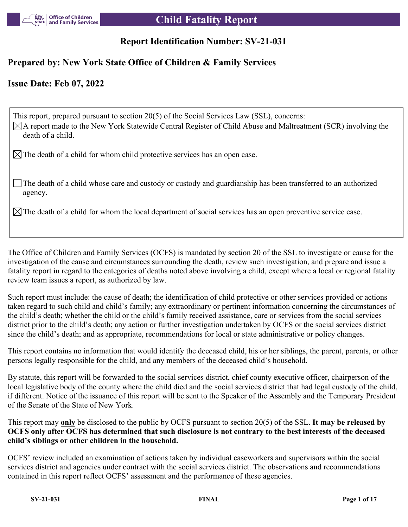

## **Report Identification Number: SV-21-031**

## **Prepared by: New York State Office of Children & Family Services**

## **Issue Date: Feb 07, 2022**

This report, prepared pursuant to section 20(5) of the Social Services Law (SSL), concerns:  $\boxtimes$ A report made to the New York Statewide Central Register of Child Abuse and Maltreatment (SCR) involving the death of a child.

 $\boxtimes$  The death of a child for whom child protective services has an open case.

The death of a child whose care and custody or custody and guardianship has been transferred to an authorized agency.

 $\boxtimes$  The death of a child for whom the local department of social services has an open preventive service case.

The Office of Children and Family Services (OCFS) is mandated by section 20 of the SSL to investigate or cause for the investigation of the cause and circumstances surrounding the death, review such investigation, and prepare and issue a fatality report in regard to the categories of deaths noted above involving a child, except where a local or regional fatality review team issues a report, as authorized by law.

Such report must include: the cause of death; the identification of child protective or other services provided or actions taken regard to such child and child's family; any extraordinary or pertinent information concerning the circumstances of the child's death; whether the child or the child's family received assistance, care or services from the social services district prior to the child's death; any action or further investigation undertaken by OCFS or the social services district since the child's death; and as appropriate, recommendations for local or state administrative or policy changes.

This report contains no information that would identify the deceased child, his or her siblings, the parent, parents, or other persons legally responsible for the child, and any members of the deceased child's household.

By statute, this report will be forwarded to the social services district, chief county executive officer, chairperson of the local legislative body of the county where the child died and the social services district that had legal custody of the child, if different. Notice of the issuance of this report will be sent to the Speaker of the Assembly and the Temporary President of the Senate of the State of New York.

This report may **only** be disclosed to the public by OCFS pursuant to section 20(5) of the SSL. **It may be released by OCFS only after OCFS has determined that such disclosure is not contrary to the best interests of the deceased child's siblings or other children in the household.**

OCFS' review included an examination of actions taken by individual caseworkers and supervisors within the social services district and agencies under contract with the social services district. The observations and recommendations contained in this report reflect OCFS' assessment and the performance of these agencies.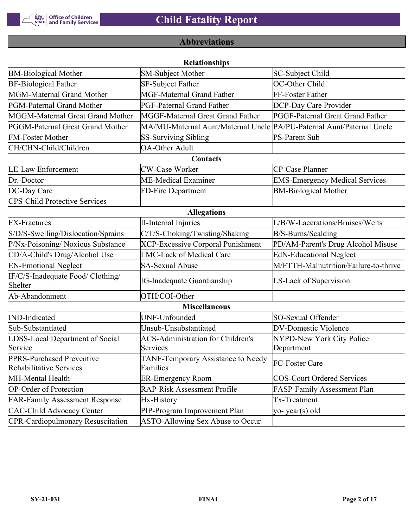

# **Abbreviations**

| <b>Relationships</b>                                 |                                                                       |                                       |  |  |  |  |
|------------------------------------------------------|-----------------------------------------------------------------------|---------------------------------------|--|--|--|--|
| <b>BM-Biological Mother</b>                          | <b>SM-Subject Mother</b>                                              | SC-Subject Child                      |  |  |  |  |
| <b>BF-Biological Father</b>                          | SF-Subject Father                                                     | OC-Other Child                        |  |  |  |  |
| MGM-Maternal Grand Mother                            | <b>MGF-Maternal Grand Father</b>                                      | FF-Foster Father                      |  |  |  |  |
| PGM-Paternal Grand Mother                            | PGF-Paternal Grand Father                                             | DCP-Day Care Provider                 |  |  |  |  |
| MGGM-Maternal Great Grand Mother                     | MGGF-Maternal Great Grand Father                                      | PGGF-Paternal Great Grand Father      |  |  |  |  |
| PGGM-Paternal Great Grand Mother                     | MA/MU-Maternal Aunt/Maternal Uncle PA/PU-Paternal Aunt/Paternal Uncle |                                       |  |  |  |  |
| <b>FM-Foster Mother</b>                              | <b>SS-Surviving Sibling</b>                                           | <b>PS-Parent Sub</b>                  |  |  |  |  |
| CH/CHN-Child/Children                                | <b>OA-Other Adult</b>                                                 |                                       |  |  |  |  |
|                                                      | Contacts                                                              |                                       |  |  |  |  |
| <b>LE-Law Enforcement</b>                            | <b>CW-Case Worker</b>                                                 | CP-Case Planner                       |  |  |  |  |
| Dr.-Doctor                                           | ME-Medical Examiner                                                   | <b>EMS-Emergency Medical Services</b> |  |  |  |  |
| DC-Day Care                                          | FD-Fire Department                                                    | <b>BM-Biological Mother</b>           |  |  |  |  |
| <b>CPS-Child Protective Services</b>                 |                                                                       |                                       |  |  |  |  |
|                                                      | <b>Allegations</b>                                                    |                                       |  |  |  |  |
| <b>FX-Fractures</b>                                  | <b>II-Internal Injuries</b>                                           | L/B/W-Lacerations/Bruises/Welts       |  |  |  |  |
| S/D/S-Swelling/Dislocation/Sprains                   | C/T/S-Choking/Twisting/Shaking                                        | B/S-Burns/Scalding                    |  |  |  |  |
| P/Nx-Poisoning/ Noxious Substance                    | <b>XCP-Excessive Corporal Punishment</b>                              | PD/AM-Parent's Drug Alcohol Misuse    |  |  |  |  |
| CD/A-Child's Drug/Alcohol Use                        | <b>LMC-Lack of Medical Care</b>                                       | <b>EdN-Educational Neglect</b>        |  |  |  |  |
| <b>EN-Emotional Neglect</b>                          | <b>SA-Sexual Abuse</b>                                                | M/FTTH-Malnutrition/Failure-to-thrive |  |  |  |  |
| IF/C/S-Inadequate Food/ Clothing/<br>Shelter         | <b>IG-Inadequate Guardianship</b>                                     | LS-Lack of Supervision                |  |  |  |  |
| Ab-Abandonment                                       | OTH/COI-Other                                                         |                                       |  |  |  |  |
|                                                      | <b>Miscellaneous</b>                                                  |                                       |  |  |  |  |
| <b>IND-Indicated</b>                                 | UNF-Unfounded                                                         | SO-Sexual Offender                    |  |  |  |  |
| Sub-Substantiated                                    | Unsub-Unsubstantiated                                                 | <b>DV-Domestic Violence</b>           |  |  |  |  |
| LDSS-Local Department of Social                      | <b>ACS-Administration for Children's</b>                              | NYPD-New York City Police             |  |  |  |  |
| Service                                              | Services                                                              | Department                            |  |  |  |  |
| PPRS-Purchased Preventive<br>Rehabilitative Services | TANF-Temporary Assistance to Needy<br>Families                        | FC-Foster Care                        |  |  |  |  |
| MH-Mental Health                                     | <b>ER-Emergency Room</b>                                              | <b>COS-Court Ordered Services</b>     |  |  |  |  |
| <b>OP-Order of Protection</b>                        | <b>RAP-Risk Assessment Profile</b>                                    | FASP-Family Assessment Plan           |  |  |  |  |
| <b>FAR-Family Assessment Response</b>                | Hx-History                                                            | Tx-Treatment                          |  |  |  |  |
| <b>CAC-Child Advocacy Center</b>                     | PIP-Program Improvement Plan                                          | yo-year(s) old                        |  |  |  |  |
| <b>CPR-Cardiopulmonary Resuscitation</b>             | ASTO-Allowing Sex Abuse to Occur                                      |                                       |  |  |  |  |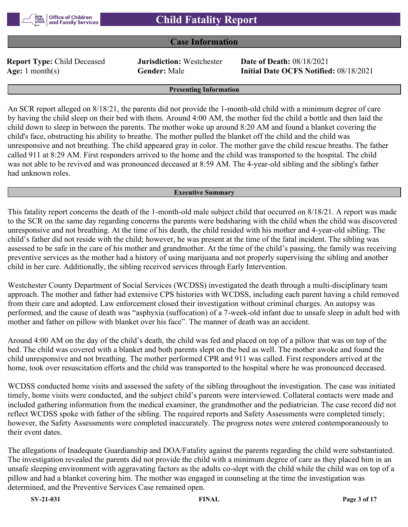## **Case Information**

**Report Type:** Child Deceased **Jurisdiction:** Westchester **Date of Death:** 08/18/2021

**Age:** 1 month(s) **Gender:** Male **Initial Date OCFS Notified:** 08/18/2021

#### **Presenting Information**

An SCR report alleged on 8/18/21, the parents did not provide the 1-month-old child with a minimum degree of care by having the child sleep on their bed with them. Around 4:00 AM, the mother fed the child a bottle and then laid the child down to sleep in between the parents. The mother woke up around 8:20 AM and found a blanket covering the child's face, obstructing his ability to breathe. The mother pulled the blanket off the child and the child was unresponsive and not breathing. The child appeared gray in color. The mother gave the child rescue breaths. The father called 911 at 8:29 AM. First responders arrived to the home and the child was transported to the hospital. The child was not able to be revived and was pronounced deceased at 8:59 AM. The 4-year-old sibling and the sibling's father had unknown roles.

#### **Executive Summary**

This fatality report concerns the death of the 1-month-old male subject child that occurred on 8/18/21. A report was made to the SCR on the same day regarding concerns the parents were bedsharing with the child when the child was discovered unresponsive and not breathing. At the time of his death, the child resided with his mother and 4-year-old sibling. The child's father did not reside with the child; however, he was present at the time of the fatal incident. The sibling was assessed to be safe in the care of his mother and grandmother. At the time of the child's passing, the family was receiving preventive services as the mother had a history of using marijuana and not properly supervising the sibling and another child in her care. Additionally, the sibling received services through Early Intervention.

Westchester County Department of Social Services (WCDSS) investigated the death through a multi-disciplinary team approach. The mother and father had extensive CPS histories with WCDSS, including each parent having a child removed from their care and adopted. Law enforcement closed their investigation without criminal charges. An autopsy was performed, and the cause of death was "asphyxia (suffocation) of a 7-week-old infant due to unsafe sleep in adult bed with mother and father on pillow with blanket over his face". The manner of death was an accident.

Around 4:00 AM on the day of the child's death, the child was fed and placed on top of a pillow that was on top of the bed. The child was covered with a blanket and both parents slept on the bed as well. The mother awoke and found the child unresponsive and not breathing. The mother performed CPR and 911 was called. First responders arrived at the home, took over resuscitation efforts and the child was transported to the hospital where he was pronounced deceased.

WCDSS conducted home visits and assessed the safety of the sibling throughout the investigation. The case was initiated timely, home visits were conducted, and the subject child's parents were interviewed. Collateral contacts were made and included gathering information from the medical examiner, the grandmother and the pediatrician. The case record did not reflect WCDSS spoke with father of the sibling. The required reports and Safety Assessments were completed timely; however, the Safety Assessments were completed inaccurately. The progress notes were entered contemporaneously to their event dates.

The allegations of Inadequate Guardianship and DOA/Fatality against the parents regarding the child were substantiated. The investigation revealed the parents did not provide the child with a minimum degree of care as they placed him in an unsafe sleeping environment with aggravating factors as the adults co-slept with the child while the child was on top of a pillow and had a blanket covering him. The mother was engaged in counseling at the time the investigation was determined, and the Preventive Services Case remained open.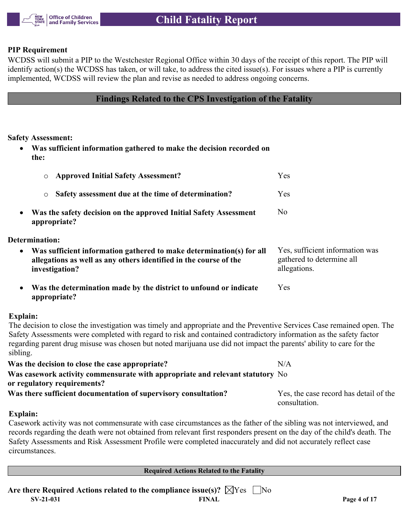

## **PIP Requirement**

WCDSS will submit a PIP to the Westchester Regional Office within 30 days of the receipt of this report. The PIP will identify action(s) the WCDSS has taken, or will take, to address the cited issue(s). For issues where a PIP is currently implemented, WCDSS will review the plan and revise as needed to address ongoing concerns.

**Findings Related to the CPS Investigation of the Fatality**

**Safety Assessment:**

 **Was sufficient information gathered to make the decision recorded on the:**

| <b>Approved Initial Safety Assessment?</b><br>$\circ$                                                                                                                    | Yes                                                                          |
|--------------------------------------------------------------------------------------------------------------------------------------------------------------------------|------------------------------------------------------------------------------|
| Safety assessment due at the time of determination?<br>$\circ$                                                                                                           | Yes                                                                          |
| Was the safety decision on the approved Initial Safety Assessment<br>$\bullet$<br>appropriate?                                                                           | N <sub>o</sub>                                                               |
| Determination:                                                                                                                                                           |                                                                              |
| Was sufficient information gathered to make determination(s) for all<br>$\bullet$<br>allegations as well as any others identified in the course of the<br>investigation? | Yes, sufficient information was<br>gathered to determine all<br>allegations. |
| Was the determination made by the district to unfound or indicate<br>$\bullet$<br>appropriate?                                                                           | Yes                                                                          |
| Explain:                                                                                                                                                                 |                                                                              |

The decision to close the investigation was timely and appropriate and the Preventive Services Case remained open. The Safety Assessments were completed with regard to risk and contained contradictory information as the safety factor regarding parent drug misuse was chosen but noted marijuana use did not impact the parents' ability to care for the sibling.

| Was the decision to close the case appropriate?                                     | N/A                                    |
|-------------------------------------------------------------------------------------|----------------------------------------|
| Was casework activity commensurate with appropriate and relevant statutory $\rm No$ |                                        |
| or regulatory requirements?                                                         |                                        |
| Was there sufficient documentation of supervisory consultation?                     | Yes, the case record has detail of the |
|                                                                                     | consultation.                          |

## **Explain:**

Casework activity was not commensurate with case circumstances as the father of the sibling was not interviewed, and records regarding the death were not obtained from relevant first responders present on the day of the child's death. The Safety Assessments and Risk Assessment Profile were completed inaccurately and did not accurately reflect case circumstances.

**Required Actions Related to the Fatality**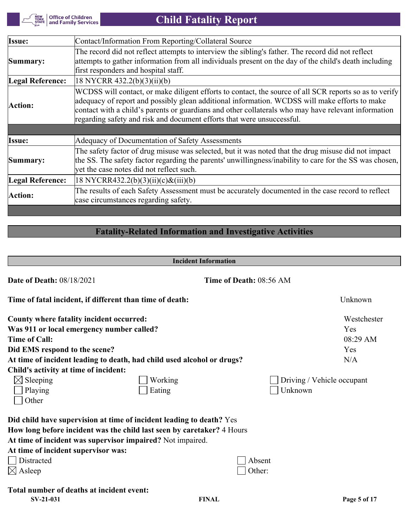Office of Children<br>| and Family Services NEW<br>YORK<br>STATE

 **Child Fatality Report**

| Issue:                  | Contact/Information From Reporting/Collateral Source                                                                                                                                                                                                                                                                                                                                     |
|-------------------------|------------------------------------------------------------------------------------------------------------------------------------------------------------------------------------------------------------------------------------------------------------------------------------------------------------------------------------------------------------------------------------------|
| Summary:                | The record did not reflect attempts to interview the sibling's father. The record did not reflect<br>attempts to gather information from all individuals present on the day of the child's death including<br>first responders and hospital staff.                                                                                                                                       |
| Legal Reference:        | 18 NYCRR 432.2(b)(3)(ii)(b)                                                                                                                                                                                                                                                                                                                                                              |
| Action:                 | WCDSS will contact, or make diligent efforts to contact, the source of all SCR reports so as to verify<br>adequacy of report and possibly glean additional information. WCDSS will make efforts to make<br>contact with a child's parents or guardians and other collaterals who may have relevant information<br>regarding safety and risk and document efforts that were unsuccessful. |
|                         |                                                                                                                                                                                                                                                                                                                                                                                          |
| Issue:                  | Adequacy of Documentation of Safety Assessments                                                                                                                                                                                                                                                                                                                                          |
| Summary:                | The safety factor of drug misuse was selected, but it was noted that the drug misuse did not impact<br>the SS. The safety factor regarding the parents' unwillingness/inability to care for the SS was chosen,<br>yet the case notes did not reflect such.                                                                                                                               |
| <b>Legal Reference:</b> | $18$ NYCRR432.2(b)(3)(ii)(c)&(iii)(b)                                                                                                                                                                                                                                                                                                                                                    |
| Action:                 | The results of each Safety Assessment must be accurately documented in the case record to reflect<br>case circumstances regarding safety.                                                                                                                                                                                                                                                |

# **Fatality-Related Information and Investigative Activities**

| <b>Incident Information</b>                              |                                                                        |                         |                            |  |
|----------------------------------------------------------|------------------------------------------------------------------------|-------------------------|----------------------------|--|
| <b>Date of Death: 08/18/2021</b>                         |                                                                        | Time of Death: 08:56 AM |                            |  |
| Time of fatal incident, if different than time of death: |                                                                        |                         | Unknown                    |  |
| County where fatality incident occurred:                 |                                                                        |                         | Westchester                |  |
| Was 911 or local emergency number called?                |                                                                        |                         | Yes                        |  |
| <b>Time of Call:</b>                                     |                                                                        |                         | 08:29 AM                   |  |
| Did EMS respond to the scene?                            |                                                                        |                         | Yes                        |  |
|                                                          | At time of incident leading to death, had child used alcohol or drugs? |                         | N/A                        |  |
| Child's activity at time of incident:                    |                                                                        |                         |                            |  |
| $\boxtimes$ Sleeping                                     | Working                                                                |                         | Driving / Vehicle occupant |  |
| Playing                                                  | Eating                                                                 | Unknown                 |                            |  |
| Other                                                    |                                                                        |                         |                            |  |
|                                                          | Did child have supervision at time of incident leading to death? Yes   |                         |                            |  |
|                                                          | How long before incident was the child last seen by caretaker? 4 Hours |                         |                            |  |
|                                                          | At time of incident was supervisor impaired? Not impaired.             |                         |                            |  |
| At time of incident supervisor was:                      |                                                                        |                         |                            |  |
| Distracted                                               |                                                                        | Absent                  |                            |  |
| $\boxtimes$ Asleep                                       |                                                                        | Other:                  |                            |  |
| Total number of deaths at incident event:                |                                                                        |                         |                            |  |
| SV-21-031                                                | <b>FINAL</b>                                                           |                         | Page 5 of 17               |  |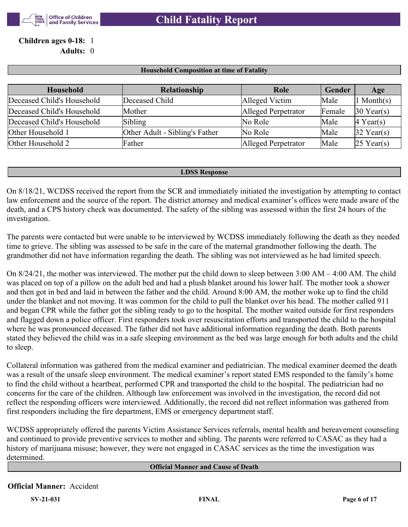

## **Children ages 0-18:** 1 **Adults:** 0

| <b>Household</b>           | Relationship                   | Role                | Gender | Age                   |
|----------------------------|--------------------------------|---------------------|--------|-----------------------|
| Deceased Child's Household | Deceased Child                 | Alleged Victim      | Male   | $\ln \text{Month(s)}$ |
| Deceased Child's Household | Mother                         | Alleged Perpetrator | Female | $30$ Year(s)          |
| Deceased Child's Household | Sibling                        | No Role             | Male   | $ 4 \text{ Year}(s) $ |
| Other Household 1          | Other Adult - Sibling's Father | No Role             | Male   | $32$ Year(s)          |
| Other Household 2          | Father                         | Alleged Perpetrator | Male   | $25$ Year(s)          |

**Household Composition at time of Fatality**

#### **LDSS Response**

On 8/18/21, WCDSS received the report from the SCR and immediately initiated the investigation by attempting to contact law enforcement and the source of the report. The district attorney and medical examiner's offices were made aware of the death, and a CPS history check was documented. The safety of the sibling was assessed within the first 24 hours of the investigation.

The parents were contacted but were unable to be interviewed by WCDSS immediately following the death as they needed time to grieve. The sibling was assessed to be safe in the care of the maternal grandmother following the death. The grandmother did not have information regarding the death. The sibling was not interviewed as he had limited speech.

On 8/24/21, the mother was interviewed. The mother put the child down to sleep between 3:00 AM – 4:00 AM. The child was placed on top of a pillow on the adult bed and had a plush blanket around his lower half. The mother took a shower and then got in bed and laid in between the father and the child. Around 8:00 AM, the mother woke up to find the child under the blanket and not moving. It was common for the child to pull the blanket over his head. The mother called 911 and began CPR while the father got the sibling ready to go to the hospital. The mother waited outside for first responders and flagged down a police officer. First responders took over resuscitation efforts and transported the child to the hospital where he was pronounced deceased. The father did not have additional information regarding the death. Both parents stated they believed the child was in a safe sleeping environment as the bed was large enough for both adults and the child to sleep.

Collateral information was gathered from the medical examiner and pediatrician. The medical examiner deemed the death was a result of the unsafe sleep environment. The medical examiner's report stated EMS responded to the family's home to find the child without a heartbeat, performed CPR and transported the child to the hospital. The pediatrician had no concerns for the care of the children. Although law enforcement was involved in the investigation, the record did not reflect the responding officers were interviewed. Additionally, the record did not reflect information was gathered from first responders including the fire department, EMS or emergency department staff.

WCDSS appropriately offered the parents Victim Assistance Services referrals, mental health and bereavement counseling and continued to provide preventive services to mother and sibling. The parents were referred to CASAC as they had a history of marijuana misuse; however, they were not engaged in CASAC services as the time the investigation was determined.

**Official Manner and Cause of Death**

## **Official Manner:** Accident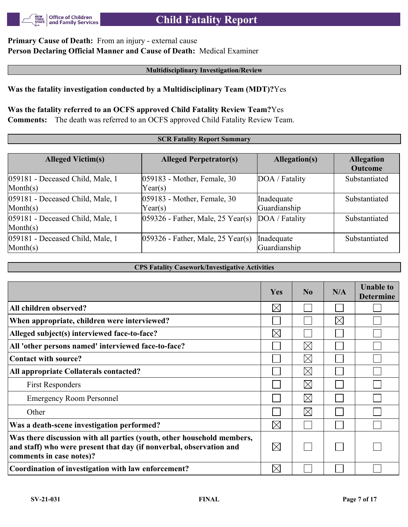

# **Child Fatality Report**

## **Primary Cause of Death:** From an injury - external cause **Person Declaring Official Manner and Cause of Death:** Medical Examiner

#### **Multidisciplinary Investigation/Review**

## **Was the fatality investigation conducted by a Multidisciplinary Team (MDT)?**Yes

# **Was the fatality referred to an OCFS approved Child Fatality Review Team?**Yes

**Comments:** The death was referred to an OCFS approved Child Fatality Review Team.

#### **SCR Fatality Report Summary**

| <b>Alleged Victim(s)</b>                              | <b>Alleged Perpetrator(s)</b>             | Allegation(s)              | <b>Allegation</b><br><b>Outcome</b> |
|-------------------------------------------------------|-------------------------------------------|----------------------------|-------------------------------------|
| 059181 - Deceased Child, Male, 1<br>$\text{Month}(s)$ | $ 059183$ - Mother, Female, 30<br>Year(s) | DOA / Fatality             | Substantiated                       |
| 059181 - Deceased Child, Male, 1<br>$\text{Month}(s)$ | 059183 - Mother, Female, 30<br>Year(s)    | Inadequate<br>Guardianship | Substantiated                       |
| 059181 - Deceased Child, Male, 1<br>$\text{Month}(s)$ | $ 059326$ - Father, Male, 25 Year(s)      | DOA / Fatality             | Substantiated                       |
| 059181 - Deceased Child, Male, 1<br>$\text{Month}(s)$ | $ 059326$ - Father, Male, 25 Year(s)      | Inadequate<br>Guardianship | Substantiated                       |

**CPS Fatality Casework/Investigative Activities**

|                                                                                                                                                                           | <b>Yes</b>  | N <sub>0</sub> | N/A      | <b>Unable to</b><br><b>Determine</b> |
|---------------------------------------------------------------------------------------------------------------------------------------------------------------------------|-------------|----------------|----------|--------------------------------------|
| All children observed?                                                                                                                                                    | $\boxtimes$ |                |          |                                      |
| When appropriate, children were interviewed?                                                                                                                              |             |                | $\times$ |                                      |
| Alleged subject(s) interviewed face-to-face?                                                                                                                              | $\boxtimes$ |                |          |                                      |
| All 'other persons named' interviewed face-to-face?                                                                                                                       |             | $\times$       |          |                                      |
| Contact with source?                                                                                                                                                      |             | $\boxtimes$    |          |                                      |
| All appropriate Collaterals contacted?                                                                                                                                    |             | $\boxtimes$    |          |                                      |
| <b>First Responders</b>                                                                                                                                                   |             | $\boxtimes$    |          |                                      |
| <b>Emergency Room Personnel</b>                                                                                                                                           |             | $\boxtimes$    |          |                                      |
| Other                                                                                                                                                                     |             | $\times$       |          |                                      |
| Was a death-scene investigation performed?                                                                                                                                | $\boxtimes$ |                |          |                                      |
| Was there discussion with all parties (youth, other household members,<br>and staff) who were present that day (if nonverbal, observation and<br>comments in case notes)? | $\boxtimes$ |                |          |                                      |
| Coordination of investigation with law enforcement?                                                                                                                       | $\times$    |                |          |                                      |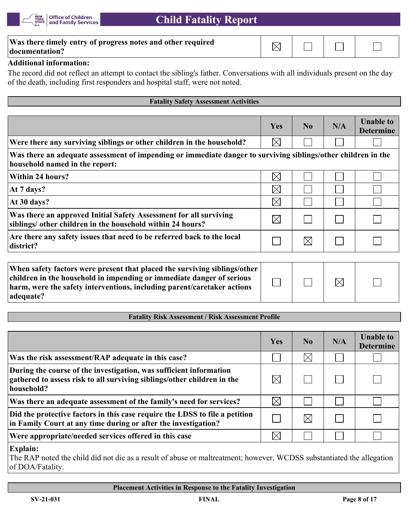

| Was there timely entry of progress notes and other required<br> documentation? |  |  |
|--------------------------------------------------------------------------------|--|--|
| .                                                                              |  |  |

## **Additional information:**

The record did not reflect an attempt to contact the sibling's father. Conversations with all individuals present on the day of the death, including first responders and hospital staff, were not noted.

| <b>Fatality Safety Assessment Activities</b>                                                                                                    |             |                |     |                                      |
|-------------------------------------------------------------------------------------------------------------------------------------------------|-------------|----------------|-----|--------------------------------------|
|                                                                                                                                                 |             |                |     |                                      |
|                                                                                                                                                 | <b>Yes</b>  | N <sub>0</sub> | N/A | <b>Unable to</b><br><b>Determine</b> |
| Were there any surviving siblings or other children in the household?                                                                           | $\boxtimes$ |                |     |                                      |
| Was there an adequate assessment of impending or immediate danger to surviving siblings/other children in the<br>household named in the report: |             |                |     |                                      |
| Within 24 hours?                                                                                                                                | $\times$    |                |     |                                      |
| At 7 days?                                                                                                                                      | $\boxtimes$ |                |     |                                      |
| At $30$ days?                                                                                                                                   | $\times$    |                |     |                                      |
| Was there an approved Initial Safety Assessment for all surviving<br>siblings/ other children in the household within 24 hours?                 | $\boxtimes$ |                |     |                                      |
| Are there any safety issues that need to be referred back to the local<br>district?                                                             |             | $\boxtimes$    |     |                                      |
| When safety factors were present that placed the surviving siblings/other                                                                       |             |                |     |                                      |

| When safety factors were present that placed the surviving siblings/other |  |             |  |
|---------------------------------------------------------------------------|--|-------------|--|
| children in the household in impending or immediate danger of serious     |  | $\boxtimes$ |  |
| harm, were the safety interventions, including parent/caretaker actions   |  |             |  |
| adequate?                                                                 |  |             |  |

## **Fatality Risk Assessment / Risk Assessment Profile**

|                                                                                                                                                             | Yes         | N <sub>0</sub> | N/A | <b>Unable to</b><br><b>Determine</b> |
|-------------------------------------------------------------------------------------------------------------------------------------------------------------|-------------|----------------|-----|--------------------------------------|
| Was the risk assessment/RAP adequate in this case?                                                                                                          |             | $\times$       |     |                                      |
| During the course of the investigation, was sufficient information<br>gathered to assess risk to all surviving siblings/other children in the<br>household? |             |                |     |                                      |
| Was there an adequate assessment of the family's need for services?                                                                                         | $\boxtimes$ |                |     |                                      |
| Did the protective factors in this case require the LDSS to file a petition<br>in Family Court at any time during or after the investigation?               |             | IХ             |     |                                      |
| Were appropriate/needed services offered in this case                                                                                                       | $\times$    |                |     |                                      |

#### **Explain:**

The RAP noted the child did not die as a result of abuse or maltreatment; however, WCDSS substantiated the allegation of DOA/Fatality.

**Placement Activities in Response to the Fatality Investigation**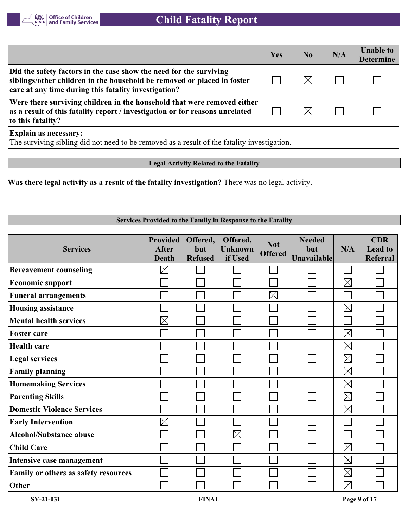

|                                                                                                                                                                                                       | Yes | N <sub>0</sub> | N/A | <b>Unable to</b><br><b>Determine</b> |
|-------------------------------------------------------------------------------------------------------------------------------------------------------------------------------------------------------|-----|----------------|-----|--------------------------------------|
| Did the safety factors in the case show the need for the surviving<br>siblings/other children in the household be removed or placed in foster<br>care at any time during this fatality investigation? |     |                |     |                                      |
| Were there surviving children in the household that were removed either<br>as a result of this fatality report / investigation or for reasons unrelated<br>to this fatality?                          |     |                |     |                                      |
| <b>Explain as necessary:</b><br>The surviving sibling did not need to be removed as a result of the fatality investigation.                                                                           |     |                |     |                                      |

**Legal Activity Related to the Fatality**

**Was there legal activity as a result of the fatality investigation?** There was no legal activity.

## **Services Provided to the Family in Response to the Fatality**

| <b>Services</b>                      | <b>Provided</b><br><b>After</b><br><b>Death</b> | Offered,<br>but<br><b>Refused</b> | Offered,<br><b>Unknown</b><br>if Used | <b>Not</b><br><b>Offered</b> | <b>Needed</b><br>but<br><b>Unavailable</b> | N/A         | <b>CDR</b><br><b>Lead to</b><br>Referral |
|--------------------------------------|-------------------------------------------------|-----------------------------------|---------------------------------------|------------------------------|--------------------------------------------|-------------|------------------------------------------|
| <b>Bereavement counseling</b>        | $\boxtimes$                                     |                                   |                                       |                              |                                            |             |                                          |
| <b>Economic support</b>              |                                                 |                                   |                                       |                              |                                            | $\boxtimes$ |                                          |
| <b>Funeral arrangements</b>          |                                                 |                                   |                                       | $\times$                     |                                            |             |                                          |
| <b>Housing assistance</b>            |                                                 |                                   |                                       |                              |                                            | $\boxtimes$ |                                          |
| <b>Mental health services</b>        | $\boxtimes$                                     |                                   |                                       |                              |                                            |             |                                          |
| <b>Foster care</b>                   |                                                 |                                   |                                       |                              |                                            | $\boxtimes$ |                                          |
| <b>Health care</b>                   |                                                 |                                   |                                       |                              |                                            | $\boxtimes$ |                                          |
| <b>Legal services</b>                |                                                 |                                   |                                       |                              |                                            | $\boxtimes$ |                                          |
| <b>Family planning</b>               |                                                 |                                   |                                       |                              |                                            | $\boxtimes$ |                                          |
| <b>Homemaking Services</b>           |                                                 |                                   |                                       |                              |                                            | $\boxtimes$ |                                          |
| <b>Parenting Skills</b>              |                                                 |                                   |                                       |                              |                                            | $\boxtimes$ |                                          |
| <b>Domestic Violence Services</b>    |                                                 |                                   |                                       |                              |                                            | $\boxtimes$ |                                          |
| <b>Early Intervention</b>            | $\boxtimes$                                     |                                   |                                       |                              |                                            |             |                                          |
| <b>Alcohol/Substance abuse</b>       |                                                 |                                   | $\boxtimes$                           |                              |                                            |             |                                          |
| <b>Child Care</b>                    |                                                 |                                   |                                       |                              |                                            | $\boxtimes$ |                                          |
| Intensive case management            |                                                 |                                   |                                       |                              |                                            | $\boxtimes$ |                                          |
| Family or others as safety resources |                                                 |                                   |                                       |                              |                                            | $\boxtimes$ |                                          |
| Other                                |                                                 |                                   |                                       |                              |                                            | $\boxtimes$ |                                          |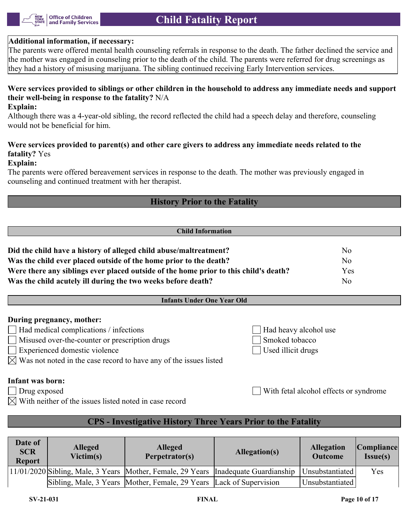

## **Additional information, if necessary:**

The parents were offered mental health counseling referrals in response to the death. The father declined the service and the mother was engaged in counseling prior to the death of the child. The parents were referred for drug screenings as they had a history of misusing marijuana. The sibling continued receiving Early Intervention services.

## **Were services provided to siblings or other children in the household to address any immediate needs and support their well-being in response to the fatality?** N/A

#### **Explain:**

Although there was a 4-year-old sibling, the record reflected the child had a speech delay and therefore, counseling would not be beneficial for him.

## **Were services provided to parent(s) and other care givers to address any immediate needs related to the fatality?** Yes

#### **Explain:**

The parents were offered bereavement services in response to the death. The mother was previously engaged in counseling and continued treatment with her therapist.

## **History Prior to the Fatality**

#### **Child Information**

| Did the child have a history of alleged child abuse/maltreatment?                    | No  |
|--------------------------------------------------------------------------------------|-----|
| Was the child ever placed outside of the home prior to the death?                    | No  |
| Were there any siblings ever placed outside of the home prior to this child's death? | Yes |
| Was the child acutely ill during the two weeks before death?                         | No. |

## **Infants Under One Year Old**

## **During pregnancy, mother:**

- $\Box$  Had medical complications / infections  $\Box$  Had heavy alcohol use
- Misused over-the-counter or prescription drugs Smoked tobacco
- Experienced domestic violence Used illicit drugs
- $\bowtie$  Was not noted in the case record to have any of the issues listed

## **Infant was born:**

- 
- $\boxtimes$  With neither of the issues listed noted in case record

Drug exposed With fetal alcohol effects or syndrome

## **CPS - Investigative History Three Years Prior to the Fatality**

| Date of<br><b>SCR</b><br><b>Report</b> | <b>Alleged</b><br>Victim(s) | <b>Alleged</b><br>Perpetrator(s)                                                                   | Allegation(s) | <b>Allegation</b><br><b>Outcome</b> | <b>Compliance</b><br>Issue(s) |
|----------------------------------------|-----------------------------|----------------------------------------------------------------------------------------------------|---------------|-------------------------------------|-------------------------------|
|                                        |                             | 11/01/2020 Sibling, Male, 3 Years Mother, Female, 29 Years Inadequate Guardianship Unsubstantiated |               |                                     | Yes                           |
|                                        |                             | Sibling, Male, 3 Years Mother, Female, 29 Years Lack of Supervision                                |               | Unsubstantiated                     |                               |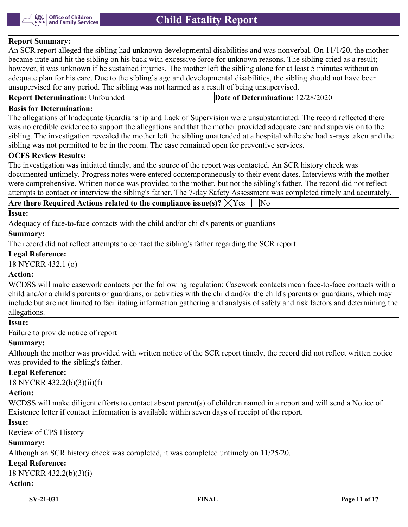

## **Report Summary:**

An SCR report alleged the sibling had unknown developmental disabilities and was nonverbal. On 11/1/20, the mother became irate and hit the sibling on his back with excessive force for unknown reasons. The sibling cried as a result; however, it was unknown if he sustained injuries. The mother left the sibling alone for at least 5 minutes without an adequate plan for his care. Due to the sibling's age and developmental disabilities, the sibling should not have been unsupervised for any period. The sibling was not harmed as a result of being unsupervised.

| <b>Report Determination: Unfounded</b> | Date of Determination: 12/28/2020 |
|----------------------------------------|-----------------------------------|
|                                        |                                   |

## **Basis for Determination:**

The allegations of Inadequate Guardianship and Lack of Supervision were unsubstantiated. The record reflected there was no credible evidence to support the allegations and that the mother provided adequate care and supervision to the sibling. The investigation revealed the mother left the sibling unattended at a hospital while she had x-rays taken and the sibling was not permitted to be in the room. The case remained open for preventive services.

#### **OCFS Review Results:**

The investigation was initiated timely, and the source of the report was contacted. An SCR history check was documented untimely. Progress notes were entered contemporaneously to their event dates. Interviews with the mother were comprehensive. Written notice was provided to the mother, but not the sibling's father. The record did not reflect attempts to contact or interview the sibling's father. The 7-day Safety Assessment was completed timely and accurately.

## **Are there Required Actions related to the compliance issue(s)?**  $\boxtimes$  Yes  $\Box$  No

#### **Issue:**

Adequacy of face-to-face contacts with the child and/or child's parents or guardians

#### **Summary:**

The record did not reflect attempts to contact the sibling's father regarding the SCR report.

#### **Legal Reference:**

18 NYCRR 432.1 (o)

## **Action:**

WCDSS will make casework contacts per the following regulation: Casework contacts mean face-to-face contacts with a child and/or a child's parents or guardians, or activities with the child and/or the child's parents or guardians, which may include but are not limited to facilitating information gathering and analysis of safety and risk factors and determining the allegations.

#### **Issue:**

Failure to provide notice of report

## **Summary:**

Although the mother was provided with written notice of the SCR report timely, the record did not reflect written notice was provided to the sibling's father.

## **Legal Reference:**

18 NYCRR 432.2(b)(3)(ii)(f)

## **Action:**

WCDSS will make diligent efforts to contact absent parent(s) of children named in a report and will send a Notice of Existence letter if contact information is available within seven days of receipt of the report.

## **Issue:**

Review of CPS History

## **Summary:**

Although an SCR history check was completed, it was completed untimely on 11/25/20.

## **Legal Reference:**

18 NYCRR 432.2(b)(3)(i)

## **Action:**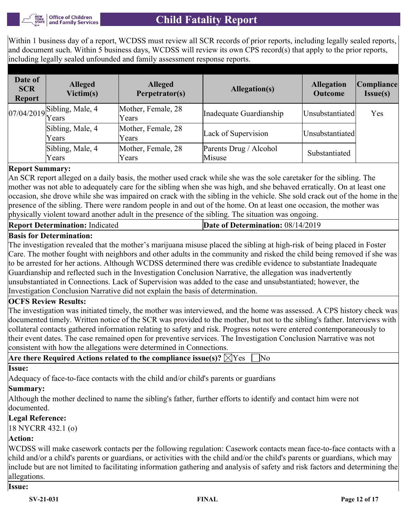

# **Child Fatality Report**

Within 1 business day of a report, WCDSS must review all SCR records of prior reports, including legally sealed reports, and document such. Within 5 business days, WCDSS will review its own CPS record(s) that apply to the prior reports, including legally sealed unfounded and family assessment response reports.

| Date of<br><b>SCR</b><br><b>Report</b> | <b>Alleged</b><br>Victim(s)                          | <b>Alleged</b><br>Perpetrator(s) | Allegation(s)                    | <b>Allegation</b><br><b>Outcome</b> | Compliance <br>Issue(s) |
|----------------------------------------|------------------------------------------------------|----------------------------------|----------------------------------|-------------------------------------|-------------------------|
|                                        | $\left  \frac{07}{04/2019} \right $ Sibling, Male, 4 | Mother, Female, 28<br>Years      | Inadequate Guardianship          | Unsubstantiated                     | Yes                     |
|                                        | Sibling, Male, 4<br>Years                            | Mother, Female, 28<br>Years      | Lack of Supervision              | Unsubstantiated                     |                         |
|                                        | Sibling, Male, 4<br>Years                            | Mother, Female, 28<br>Years      | Parents Drug / Alcohol<br>Misuse | Substantiated                       |                         |

## **Report Summary:**

An SCR report alleged on a daily basis, the mother used crack while she was the sole caretaker for the sibling. The mother was not able to adequately care for the sibling when she was high, and she behaved erratically. On at least one occasion, she drove while she was impaired on crack with the sibling in the vehicle. She sold crack out of the home in the presence of the sibling. There were random people in and out of the home. On at least one occasion, the mother was physically violent toward another adult in the presence of the sibling. The situation was ongoing.

| <b>Report Determination: Indicated</b> | Date of Determination: $08/14/2019$ |
|----------------------------------------|-------------------------------------|
|                                        |                                     |

**Are there Required Actions related to the compliance issue(s)?**  $\overline{\vee}$   $V_{\text{esc}}$   $\overline{\phantom{a}}$  No

## **Basis for Determination:**

The investigation revealed that the mother's marijuana misuse placed the sibling at high-risk of being placed in Foster Care. The mother fought with neighbors and other adults in the community and risked the child being removed if she was to be arrested for her actions. Although WCDSS determined there was credible evidence to substantiate Inadequate Guardianship and reflected such in the Investigation Conclusion Narrative, the allegation was inadvertently unsubstantiated in Connections. Lack of Supervision was added to the case and unsubstantiated; however, the Investigation Conclusion Narrative did not explain the basis of determination.

## **OCFS Review Results:**

The investigation was initiated timely, the mother was interviewed, and the home was assessed. A CPS history check was documented timely. Written notice of the SCR was provided to the mother, but not to the sibling's father. Interviews with collateral contacts gathered information relating to safety and risk. Progress notes were entered contemporaneously to their event dates. The case remained open for preventive services. The Investigation Conclusion Narrative was not consistent with how the allegations were determined in Connections.

| $\mathbb{R}$ of the except of $\mathbb{R}$ . The complete $\mathbb{R}$ is the complete $\mathbb{R}$                            |
|--------------------------------------------------------------------------------------------------------------------------------|
| Issue:                                                                                                                         |
| Adequacy of face-to-face contacts with the child and/or child's parents or guardians                                           |
| Summary:                                                                                                                       |
| Although the mother declined to name the sibling's father, further efforts to identify and contact him were not<br>documented. |
| Legal Reference:                                                                                                               |
| $18$ NYCRR 432.1 (o)                                                                                                           |
| Action:                                                                                                                        |
|                                                                                                                                |

WCDSS will make casework contacts per the following regulation: Casework contacts mean face-to-face contacts with a child and/or a child's parents or guardians, or activities with the child and/or the child's parents or guardians, which may include but are not limited to facilitating information gathering and analysis of safety and risk factors and determining the allegations.

## **Issue:**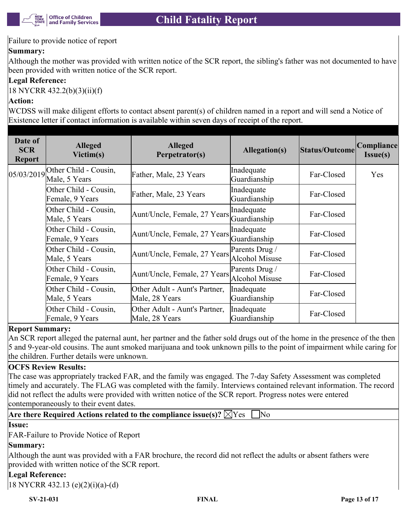

## Failure to provide notice of report

## **Summary:**

Although the mother was provided with written notice of the SCR report, the sibling's father was not documented to have been provided with written notice of the SCR report.

## **Legal Reference:**

18 NYCRR 432.2(b)(3)(ii)(f)

## **Action:**

WCDSS will make diligent efforts to contact absent parent(s) of children named in a report and will send a Notice of Existence letter if contact information is available within seven days of receipt of the report.

| Date of<br><b>SCR</b><br><b>Report</b> | <b>Alleged</b><br>Victim(s)                         | <b>Alleged</b><br>Perpetrator(s)                | <b>Allegation(s)</b>                    | <b>Status/Outcome</b> | Compliance<br>$Issue(s)$ |
|----------------------------------------|-----------------------------------------------------|-------------------------------------------------|-----------------------------------------|-----------------------|--------------------------|
|                                        | $05/03/2019$ Other Child - Cousin,<br>Male, 5 Years | Father, Male, 23 Years                          | Inadequate<br>Guardianship              | Far-Closed            | Yes                      |
|                                        | Other Child - Cousin,<br>Female, 9 Years            | Father, Male, 23 Years                          | Inadequate<br>Guardianship              | Far-Closed            |                          |
|                                        | Other Child - Cousin,<br>Male, 5 Years              | Aunt/Uncle, Female, 27 Years                    | Inadequate<br>Guardianship              | Far-Closed            |                          |
|                                        | Other Child - Cousin,<br>Female, 9 Years            | Aunt/Uncle, Female, 27 Years                    | Inadequate<br>Guardianship              | Far-Closed            |                          |
|                                        | Other Child - Cousin,<br>Male, 5 Years              | Aunt/Uncle, Female, 27 Years                    | Parents Drug /<br><b>Alcohol Misuse</b> | Far-Closed            |                          |
|                                        | Other Child - Cousin,<br>Female, 9 Years            | Aunt/Uncle, Female, 27 Years                    | Parents Drug /<br>Alcohol Misuse        | Far-Closed            |                          |
|                                        | Other Child - Cousin,<br>Male, 5 Years              | Other Adult - Aunt's Partner,<br>Male, 28 Years | Inadequate<br>Guardianship              | Far-Closed            |                          |
|                                        | Other Child - Cousin,<br>Female, 9 Years            | Other Adult - Aunt's Partner,<br>Male, 28 Years | Inadequate<br>Guardianship              | Far-Closed            |                          |

## **Report Summary:**

An SCR report alleged the paternal aunt, her partner and the father sold drugs out of the home in the presence of the then 5 and 9-year-old cousins. The aunt smoked marijuana and took unknown pills to the point of impairment while caring for the children. Further details were unknown.

## **OCFS Review Results:**

The case was appropriately tracked FAR, and the family was engaged. The 7-day Safety Assessment was completed timely and accurately. The FLAG was completed with the family. Interviews contained relevant information. The record did not reflect the adults were provided with written notice of the SCR report. Progress notes were entered contemporaneously to their event dates.

## **Are there Required Actions related to the compliance issue(s)?**  $\boxtimes$  Yes  $\Box$  No

## **Issue:**

FAR-Failure to Provide Notice of Report

## **Summary:**

Although the aunt was provided with a FAR brochure, the record did not reflect the adults or absent fathers were provided with written notice of the SCR report.

## **Legal Reference:**

18 NYCRR 432.13 (e)(2)(i)(a)-(d)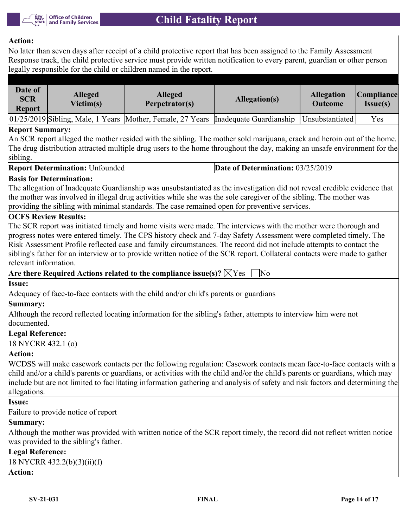

## **Action:**

No later than seven days after receipt of a child protective report that has been assigned to the Family Assessment Response track, the child protective service must provide written notification to every parent, guardian or other person legally responsible for the child or children named in the report.

| Date of<br><b>SCR</b><br><b>Report</b> | <b>Alleged</b><br>Victim(s) | <b>Alleged</b><br>Perpetrator(s)                                                   | Allegation(s) | <b>Allegation</b><br><b>Outcome</b> | Compliance <br>$Issue(s)$ |
|----------------------------------------|-----------------------------|------------------------------------------------------------------------------------|---------------|-------------------------------------|---------------------------|
|                                        |                             | 01/25/2019 Sibling, Male, 1 Years Mother, Female, 27 Years Inadequate Guardianship |               | Unsubstantiated                     | Yes                       |

## **Report Summary:**

An SCR report alleged the mother resided with the sibling. The mother sold marijuana, crack and heroin out of the home. The drug distribution attracted multiple drug users to the home throughout the day, making an unsafe environment for the sibling.

#### **Report Determination:** Unfounded **Date of Determination:** 03/25/2019

## **Basis for Determination:**

The allegation of Inadequate Guardianship was unsubstantiated as the investigation did not reveal credible evidence that the mother was involved in illegal drug activities while she was the sole caregiver of the sibling. The mother was providing the sibling with minimal standards. The case remained open for preventive services.

## **OCFS Review Results:**

The SCR report was initiated timely and home visits were made. The interviews with the mother were thorough and progress notes were entered timely. The CPS history check and 7-day Safety Assessment were completed timely. The Risk Assessment Profile reflected case and family circumstances. The record did not include attempts to contact the sibling's father for an interview or to provide written notice of the SCR report. Collateral contacts were made to gather relevant information.

Are there Required Actions related to the compliance issue(s)?  $\boxtimes$  Yes  $\Box$  No

## **Issue:**

Adequacy of face-to-face contacts with the child and/or child's parents or guardians

## **Summary:**

Although the record reflected locating information for the sibling's father, attempts to interview him were not documented.

#### **Legal Reference:**

18 NYCRR 432.1 (o)

## **Action:**

WCDSS will make casework contacts per the following regulation: Casework contacts mean face-to-face contacts with a child and/or a child's parents or guardians, or activities with the child and/or the child's parents or guardians, which may include but are not limited to facilitating information gathering and analysis of safety and risk factors and determining the allegations.

#### **Issue:**

Failure to provide notice of report

## **Summary:**

Although the mother was provided with written notice of the SCR report timely, the record did not reflect written notice was provided to the sibling's father.

## **Legal Reference:**

```
18 NYCRR 432.2(b)(3)(ii)(f)
Action:
```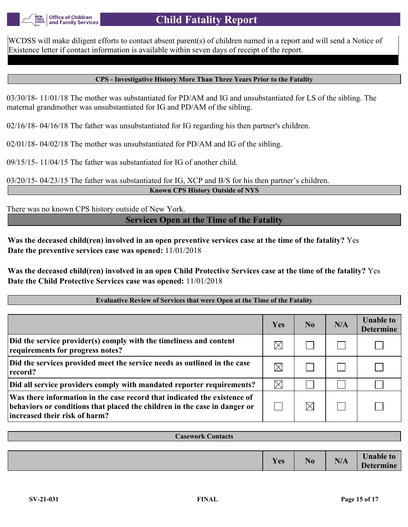

WCDSS will make diligent efforts to contact absent parent(s) of children named in a report and will send a Notice of Existence letter if contact information is available within seven days of receipt of the report.

#### **CPS - Investigative History More Than Three Years Prior to the Fatality**

03/30/18- 11/01/18 The mother was substantiated for PD/AM and IG and unsubstantiated for LS of the sibling. The maternal grandmother was unsubstantiated for IG and PD/AM of the sibling.

02/16/18- 04/16/18 The father was unsubstantiated for IG regarding his then partner's children.

02/01/18- 04/02/18 The mother was unsubstantiated for PD/AM and IG of the sibling.

09/15/15- 11/04/15 The father was substantiated for IG of another child.

03/20/15- 04/23/15 The father was substantiated for IG, XCP and B/S for his then partner's children. **Known CPS History Outside of NYS**

There was no known CPS history outside of New York.

**Services Open at the Time of the Fatality**

**Was the deceased child(ren) involved in an open preventive services case at the time of the fatality?** Yes **Date the preventive services case was opened:** 11/01/2018

**Was the deceased child(ren) involved in an open Child Protective Services case at the time of the fatality?** Yes **Date the Child Protective Services case was opened:** 11/01/2018

#### **Evaluative Review of Services that were Open at the Time of the Fatality**

|                                                                                                                                                                                        | Yes         | N <sub>0</sub> | N/A | <b>Unable to</b><br><b>Determine</b> |
|----------------------------------------------------------------------------------------------------------------------------------------------------------------------------------------|-------------|----------------|-----|--------------------------------------|
| Did the service provider(s) comply with the timeliness and content<br>requirements for progress notes?                                                                                 | $\boxtimes$ |                |     |                                      |
| Did the services provided meet the service needs as outlined in the case<br>record?                                                                                                    | $\boxtimes$ |                |     |                                      |
| Did all service providers comply with mandated reporter requirements?                                                                                                                  | $\boxtimes$ |                |     |                                      |
| Was there information in the case record that indicated the existence of<br>behaviors or conditions that placed the children in the case in danger or<br>increased their risk of harm? |             | $\boxtimes$    |     |                                      |

| <b>Casework Contacts</b> |     |                |     |                                      |
|--------------------------|-----|----------------|-----|--------------------------------------|
|                          |     |                |     |                                      |
|                          | Yes | N <sub>0</sub> | N/A | <b>Unable to</b><br><b>Determine</b> |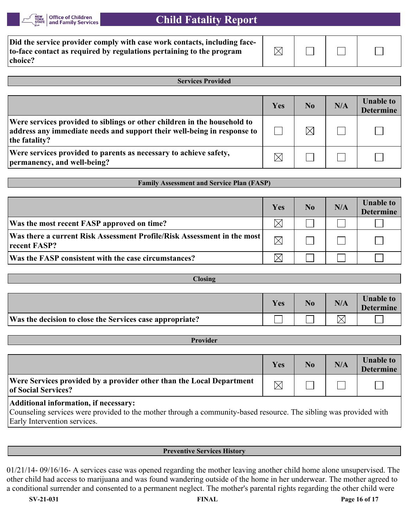

# **Child Fatality Report**

| Did the service provider comply with case work contacts, including face-<br>to-face contact as required by regulations pertaining to the program | M |  |  |
|--------------------------------------------------------------------------------------------------------------------------------------------------|---|--|--|
| choice?                                                                                                                                          |   |  |  |

**Services Provided**

|                                                                                                                                                                      | Yes | N <sub>0</sub> | N/A | <b>Unable to</b><br><b>Determine</b> |
|----------------------------------------------------------------------------------------------------------------------------------------------------------------------|-----|----------------|-----|--------------------------------------|
| Were services provided to siblings or other children in the household to<br>address any immediate needs and support their well-being in response to<br>the fatality? |     |                |     |                                      |
| Were services provided to parents as necessary to achieve safety,<br>permanency, and well-being?                                                                     |     |                |     |                                      |

|                                                                                         | Yes         | No | N/A | <b>Unable to</b><br><b>Determine</b> |
|-----------------------------------------------------------------------------------------|-------------|----|-----|--------------------------------------|
| Was the most recent FASP approved on time?                                              |             |    |     |                                      |
| Was there a current Risk Assessment Profile/Risk Assessment in the most<br>recent FASP? | $\boxtimes$ |    |     |                                      |
| Was the FASP consistent with the case circumstances?                                    |             |    |     |                                      |

**Family Assessment and Service Plan (FASP)**

| <b>CROSINE</b>                                           |            |    |                                                   |                                      |
|----------------------------------------------------------|------------|----|---------------------------------------------------|--------------------------------------|
|                                                          |            |    |                                                   |                                      |
|                                                          | <b>Yes</b> | No | N/A                                               | <b>Unable to</b><br><b>Determine</b> |
| Was the decision to close the Services case appropriate? |            |    | $\mathord{\times_{\scriptscriptstyle\mathsf{I}}}$ |                                      |

**Closing**

#### **Provider**

|                                                                                                                                                                                                                                                                                                                                                                                                                                                                                                | Yes | N <sub>0</sub> | N/A | <b>Unable to</b><br><b>Determine</b> |
|------------------------------------------------------------------------------------------------------------------------------------------------------------------------------------------------------------------------------------------------------------------------------------------------------------------------------------------------------------------------------------------------------------------------------------------------------------------------------------------------|-----|----------------|-----|--------------------------------------|
| Were Services provided by a provider other than the Local Department<br><b>of Social Services?</b>                                                                                                                                                                                                                                                                                                                                                                                             |     |                |     |                                      |
| .<br>$\blacksquare$ . $\blacksquare$ . $\blacksquare$ . $\blacksquare$ . $\blacksquare$ . $\blacksquare$ . $\blacksquare$ . $\blacksquare$ . $\blacksquare$ . $\blacksquare$ . $\blacksquare$ . $\blacksquare$ . $\blacksquare$ . $\blacksquare$ . $\blacksquare$ . $\blacksquare$ . $\blacksquare$ . $\blacksquare$ . $\blacksquare$ . $\blacksquare$ . $\blacksquare$ . $\blacksquare$ . $\blacksquare$ . $\blacksquare$ . $\blacksquare$ . $\blacksquare$ . $\blacksquare$ . $\blacksquare$ |     |                |     |                                      |

## **Additional information, if necessary:**

Counseling services were provided to the mother through a community-based resource. The sibling was provided with Early Intervention services.

#### **Preventive Services History**

01/21/14- 09/16/16- A services case was opened regarding the mother leaving another child home alone unsupervised. The other child had access to marijuana and was found wandering outside of the home in her underwear. The mother agreed to a conditional surrender and consented to a permanent neglect. The mother's parental rights regarding the other child were